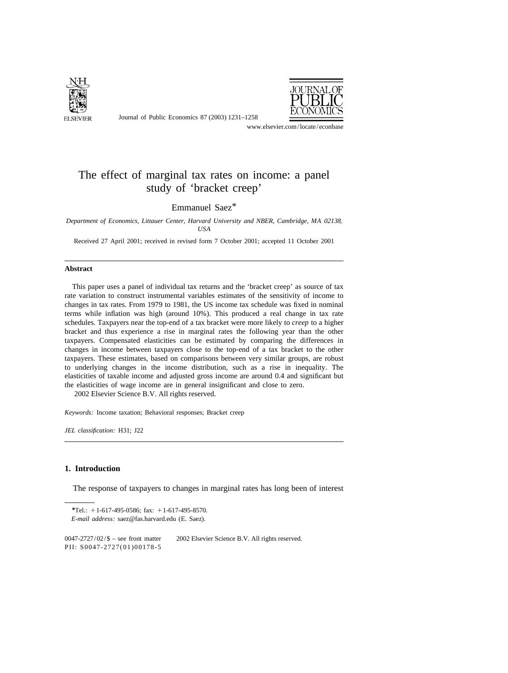

Journal of Public Economics 87 (2003) 1231–1258



www.elsevier.com/locate/econbase

# The effect of marginal tax rates on income: a panel study of 'bracket creep'

Emmanuel Saez\*

*Department of Economics*, *Littauer Center*, *Harvard University and NBER*, *Cambridge*, *MA* 02138, *USA*

Received 27 April 2001; received in revised form 7 October 2001; accepted 11 October 2001

## **Abstract**

This paper uses a panel of individual tax returns and the 'bracket creep' as source of tax rate variation to construct instrumental variables estimates of the sensitivity of income to changes in tax rates. From 1979 to 1981, the US income tax schedule was fixed in nominal terms while inflation was high (around 10%). This produced a real change in tax rate schedules. Taxpayers near the top-end of a tax bracket were more likely to *creep* to a higher bracket and thus experience a rise in marginal rates the following year than the other taxpayers. Compensated elasticities can be estimated by comparing the differences in changes in income between taxpayers close to the top-end of a tax bracket to the other taxpayers. These estimates, based on comparisons between very similar groups, are robust to underlying changes in the income distribution, such as a rise in inequality. The elasticities of taxable income and adjusted gross income are around 0.4 and significant but the elasticities of wage income are in general insignificant and close to zero. 2002 Elsevier Science B.V. All rights reserved.

*Keywords*: Income taxation; Behavioral responses; Bracket creep

*JEL classification*: H31; J22

# **1. Introduction**

The response of taxpayers to changes in marginal rates has long been of interest

*<sup>\*</sup>*Tel.: 11-617-495-0586; fax: 11-617-495-8570.

*E*-*mail address*: saez@fas.harvard.edu (E. Saez).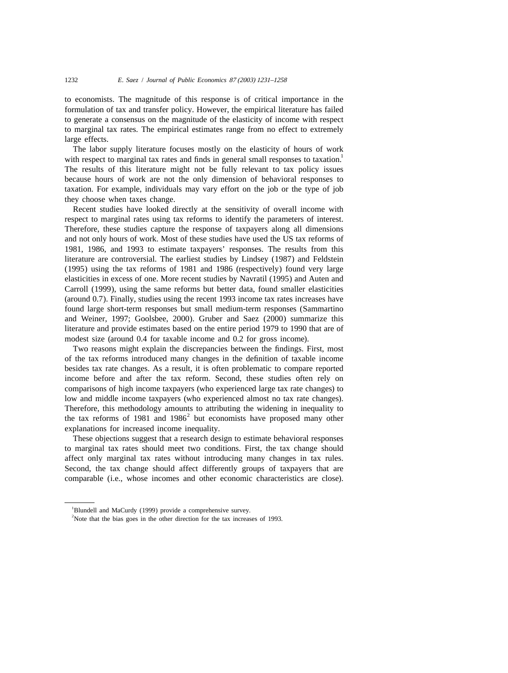to economists. The magnitude of this response is of critical importance in the formulation of tax and transfer policy. However, the empirical literature has failed to generate a consensus on the magnitude of the elasticity of income with respect to marginal tax rates. The empirical estimates range from no effect to extremely large effects.

The labor supply literature focuses mostly on the elasticity of hours of work with respect to marginal tax rates and finds in general small responses to taxation.<sup>1</sup> The results of this literature might not be fully relevant to tax policy issues because hours of work are not the only dimension of behavioral responses to taxation. For example, individuals may vary effort on the job or the type of job they choose when taxes change.

Recent studies have looked directly at the sensitivity of overall income with respect to marginal rates using tax reforms to identify the parameters of interest. Therefore, these studies capture the response of taxpayers along all dimensions and not only hours of work. Most of these studies have used the US tax reforms of 1981, 1986, and 1993 to estimate taxpayers' responses. The results from this literature are controversial. The earliest studies by Lindsey (1987) and Feldstein (1995) using the tax reforms of 1981 and 1986 (respectively) found very large elasticities in excess of one. More recent studies by Navratil (1995) and Auten and Carroll (1999), using the same reforms but better data, found smaller elasticities (around 0.7). Finally, studies using the recent 1993 income tax rates increases have found large short-term responses but small medium-term responses (Sammartino and Weiner, 1997; Goolsbee, 2000). Gruber and Saez (2000) summarize this literature and provide estimates based on the entire period 1979 to 1990 that are of modest size (around 0.4 for taxable income and 0.2 for gross income).

Two reasons might explain the discrepancies between the findings. First, most of the tax reforms introduced many changes in the definition of taxable income besides tax rate changes. As a result, it is often problematic to compare reported income before and after the tax reform. Second, these studies often rely on comparisons of high income taxpayers (who experienced large tax rate changes) to low and middle income taxpayers (who experienced almost no tax rate changes). Therefore, this methodology amounts to attributing the widening in inequality to the tax reforms of 1981 and  $1986<sup>2</sup>$  but economists have proposed many other explanations for increased income inequality.

These objections suggest that a research design to estimate behavioral responses to marginal tax rates should meet two conditions. First, the tax change should affect only marginal tax rates without introducing many changes in tax rules. Second, the tax change should affect differently groups of taxpayers that are comparable (i.e., whose incomes and other economic characteristics are close).

<sup>&</sup>lt;sup>1</sup>Blundell and MaCurdy (1999) provide a comprehensive survey.

<sup>&</sup>lt;sup>2</sup>Note that the bias goes in the other direction for the tax increases of 1993.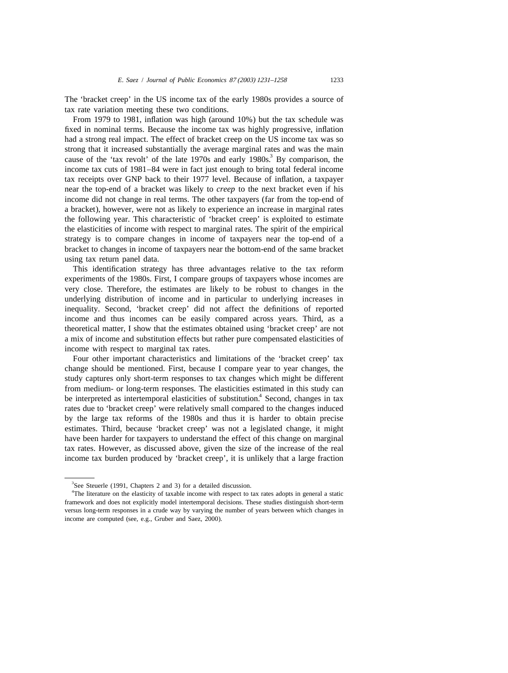The 'bracket creep' in the US income tax of the early 1980s provides a source of tax rate variation meeting these two conditions.

From 1979 to 1981, inflation was high (around 10%) but the tax schedule was fixed in nominal terms. Because the income tax was highly progressive, inflation had a strong real impact. The effect of bracket creep on the US income tax was so strong that it increased substantially the average marginal rates and was the main cause of the 'tax revolt' of the late 1970s and early 1980s.<sup>3</sup> By comparison, the income tax cuts of 1981–84 were in fact just enough to bring total federal income tax receipts over GNP back to their 1977 level. Because of inflation, a taxpayer near the top-end of a bracket was likely to *creep* to the next bracket even if his income did not change in real terms. The other taxpayers (far from the top-end of a bracket), however, were not as likely to experience an increase in marginal rates the following year. This characteristic of 'bracket creep' is exploited to estimate the elasticities of income with respect to marginal rates. The spirit of the empirical strategy is to compare changes in income of taxpayers near the top-end of a bracket to changes in income of taxpayers near the bottom-end of the same bracket using tax return panel data.

This identification strategy has three advantages relative to the tax reform experiments of the 1980s. First, I compare groups of taxpayers whose incomes are very close. Therefore, the estimates are likely to be robust to changes in the underlying distribution of income and in particular to underlying increases in inequality. Second, 'bracket creep' did not affect the definitions of reported income and thus incomes can be easily compared across years. Third, as a theoretical matter, I show that the estimates obtained using 'bracket creep' are not a mix of income and substitution effects but rather pure compensated elasticities of income with respect to marginal tax rates.

Four other important characteristics and limitations of the 'bracket creep' tax change should be mentioned. First, because I compare year to year changes, the study captures only short-term responses to tax changes which might be different from medium- or long-term responses. The elasticities estimated in this study can be interpreted as intertemporal elasticities of substitution.<sup>4</sup> Second, changes in tax rates due to 'bracket creep' were relatively small compared to the changes induced by the large tax reforms of the 1980s and thus it is harder to obtain precise estimates. Third, because 'bracket creep' was not a legislated change, it might have been harder for taxpayers to understand the effect of this change on marginal tax rates. However, as discussed above, given the size of the increase of the real income tax burden produced by 'bracket creep', it is unlikely that a large fraction

<sup>&</sup>lt;sup>3</sup>See Steuerle (1991, Chapters 2 and 3) for a detailed discussion.

<sup>&</sup>lt;sup>4</sup>The literature on the elasticity of taxable income with respect to tax rates adopts in general a static framework and does not explicitly model intertemporal decisions. These studies distinguish short-term versus long-term responses in a crude way by varying the number of years between which changes in income are computed (see, e.g., Gruber and Saez, 2000).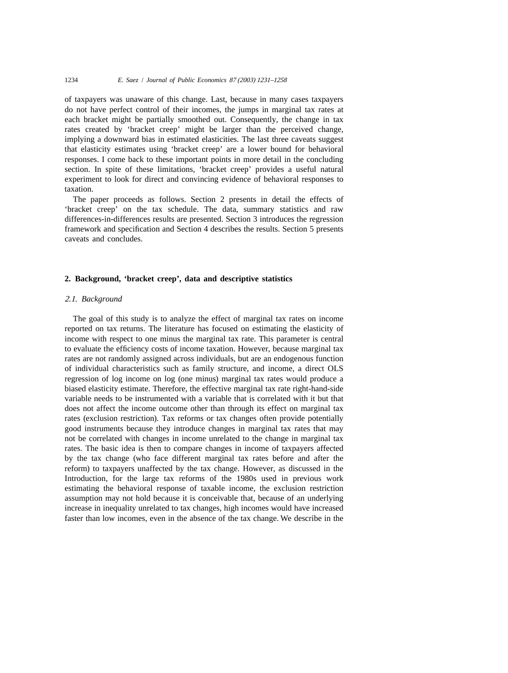of taxpayers was unaware of this change. Last, because in many cases taxpayers do not have perfect control of their incomes, the jumps in marginal tax rates at each bracket might be partially smoothed out. Consequently, the change in tax rates created by 'bracket creep' might be larger than the perceived change, implying a downward bias in estimated elasticities. The last three caveats suggest that elasticity estimates using 'bracket creep' are a lower bound for behavioral responses. I come back to these important points in more detail in the concluding section. In spite of these limitations, 'bracket creep' provides a useful natural experiment to look for direct and convincing evidence of behavioral responses to taxation.

The paper proceeds as follows. Section 2 presents in detail the effects of 'bracket creep' on the tax schedule. The data, summary statistics and raw differences-in-differences results are presented. Section 3 introduces the regression framework and specification and Section 4 describes the results. Section 5 presents caveats and concludes.

# **2. Background, 'bracket creep', data and descriptive statistics**

#### 2.1. *Background*

The goal of this study is to analyze the effect of marginal tax rates on income reported on tax returns. The literature has focused on estimating the elasticity of income with respect to one minus the marginal tax rate. This parameter is central to evaluate the efficiency costs of income taxation. However, because marginal tax rates are not randomly assigned across individuals, but are an endogenous function of individual characteristics such as family structure, and income, a direct OLS regression of log income on log (one minus) marginal tax rates would produce a biased elasticity estimate. Therefore, the effective marginal tax rate right-hand-side variable needs to be instrumented with a variable that is correlated with it but that does not affect the income outcome other than through its effect on marginal tax rates (exclusion restriction). Tax reforms or tax changes often provide potentially good instruments because they introduce changes in marginal tax rates that may not be correlated with changes in income unrelated to the change in marginal tax rates. The basic idea is then to compare changes in income of taxpayers affected by the tax change (who face different marginal tax rates before and after the reform) to taxpayers unaffected by the tax change. However, as discussed in the Introduction, for the large tax reforms of the 1980s used in previous work estimating the behavioral response of taxable income, the exclusion restriction assumption may not hold because it is conceivable that, because of an underlying increase in inequality unrelated to tax changes, high incomes would have increased faster than low incomes, even in the absence of the tax change. We describe in the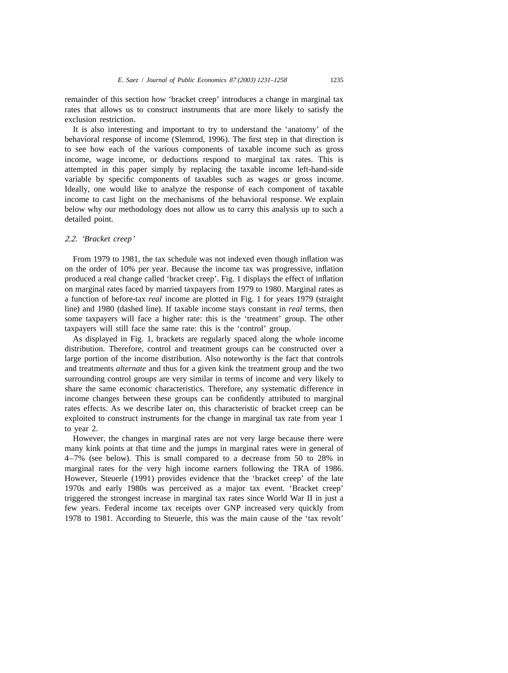remainder of this section how 'bracket creep' introduces a change in marginal tax rates that allows us to construct instruments that are more likely to satisfy the exclusion restriction.

It is also interesting and important to try to understand the 'anatomy' of the behavioral response of income (Slemrod, 1996). The first step in that direction is to see how each of the various components of taxable income such as gross income, wage income, or deductions respond to marginal tax rates. This is attempted in this paper simply by replacing the taxable income left-hand-side variable by specific components of taxables such as wages or gross income. Ideally, one would like to analyze the response of each component of taxable income to cast light on the mechanisms of the behavioral response. We explain below why our methodology does not allow us to carry this analysis up to such a detailed point.

## 2.2. '*Bracket creep*'

From 1979 to 1981, the tax schedule was not indexed even though inflation was on the order of 10% per year. Because the income tax was progressive, inflation produced a real change called 'bracket creep'. Fig. 1 displays the effect of inflation on marginal rates faced by married taxpayers from 1979 to 1980. Marginal rates as a function of before-tax *real* income are plotted in Fig. 1 for years 1979 (straight line) and 1980 (dashed line). If taxable income stays constant in *real* terms, then some taxpayers will face a higher rate: this is the 'treatment' group. The other taxpayers will still face the same rate: this is the 'control' group.

As displayed in Fig. 1, brackets are regularly spaced along the whole income distribution. Therefore, control and treatment groups can be constructed over a large portion of the income distribution. Also noteworthy is the fact that controls and treatments *alternate* and thus for a given kink the treatment group and the two surrounding control groups are very similar in terms of income and very likely to share the same economic characteristics. Therefore, any systematic difference in income changes between these groups can be confidently attributed to marginal rates effects. As we describe later on, this characteristic of bracket creep can be exploited to construct instruments for the change in marginal tax rate from year 1 to year 2.

However, the changes in marginal rates are not very large because there were many kink points at that time and the jumps in marginal rates were in general of 4–7% (see below). This is small compared to a decrease from 50 to 28% in marginal rates for the very high income earners following the TRA of 1986. However, Steuerle (1991) provides evidence that the 'bracket creep' of the late 1970s and early 1980s was perceived as a major tax event. 'Bracket creep' triggered the strongest increase in marginal tax rates since World War II in just a few years. Federal income tax receipts over GNP increased very quickly from 1978 to 1981. According to Steuerle, this was the main cause of the 'tax revolt'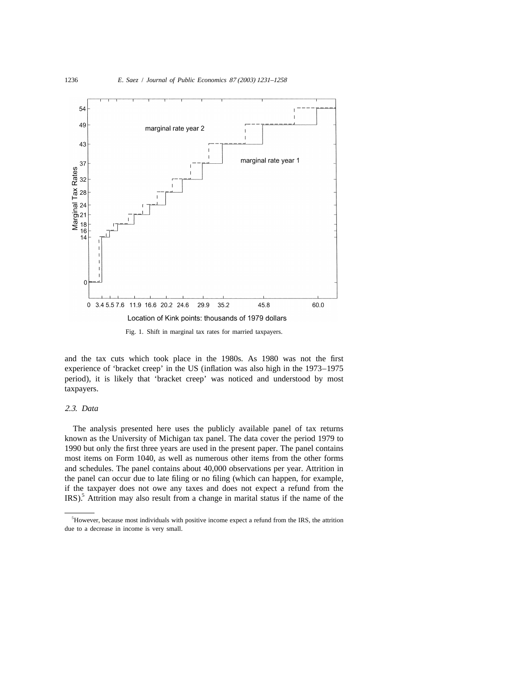

Fig. 1. Shift in marginal tax rates for married taxpayers.

and the tax cuts which took place in the 1980s. As 1980 was not the first experience of 'bracket creep' in the US (inflation was also high in the 1973–1975 period), it is likely that 'bracket creep' was noticed and understood by most taxpayers.

## 2.3. *Data*

The analysis presented here uses the publicly available panel of tax returns known as the University of Michigan tax panel. The data cover the period 1979 to 1990 but only the first three years are used in the present paper. The panel contains most items on Form 1040, as well as numerous other items from the other forms and schedules. The panel contains about 40,000 observations per year. Attrition in the panel can occur due to late filing or no filing (which can happen, for example, if the taxpayer does not owe any taxes and does not expect a refund from the  $IRS$ <sup>5</sup>. Attrition may also result from a change in marital status if the name of the

<sup>&</sup>lt;sup>5</sup>However, because most individuals with positive income expect a refund from the IRS, the attrition due to a decrease in income is very small.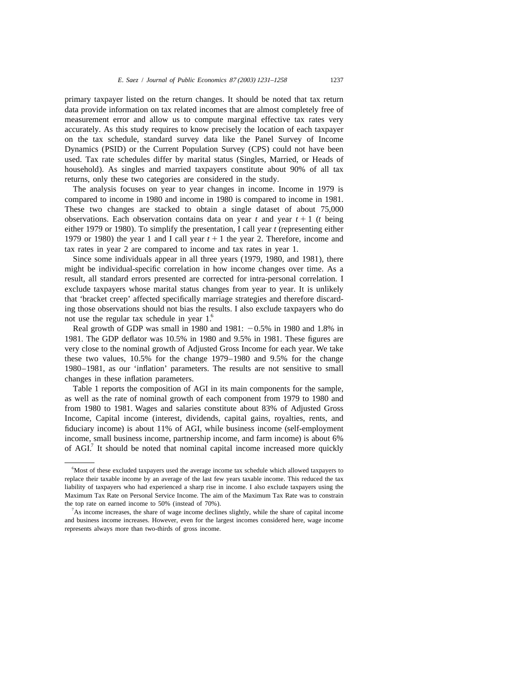primary taxpayer listed on the return changes. It should be noted that tax return data provide information on tax related incomes that are almost completely free of measurement error and allow us to compute marginal effective tax rates very accurately. As this study requires to know precisely the location of each taxpayer on the tax schedule, standard survey data like the Panel Survey of Income Dynamics (PSID) or the Current Population Survey (CPS) could not have been used. Tax rate schedules differ by marital status (Singles, Married, or Heads of household). As singles and married taxpayers constitute about 90% of all tax returns, only these two categories are considered in the study.

The analysis focuses on year to year changes in income. Income in 1979 is compared to income in 1980 and income in 1980 is compared to income in 1981. These two changes are stacked to obtain a single dataset of about 75,000 observations. Each observation contains data on year  $t$  and year  $t + 1$  (*t* being either 1979 or 1980). To simplify the presentation, I call year *t* (representing either 1979 or 1980) the year 1 and I call year  $t + 1$  the year 2. Therefore, income and tax rates in year 2 are compared to income and tax rates in year 1.

Since some individuals appear in all three years (1979, 1980, and 1981), there might be individual-specific correlation in how income changes over time. As a result, all standard errors presented are corrected for intra-personal correlation. I exclude taxpayers whose marital status changes from year to year. It is unlikely that 'bracket creep' affected specifically marriage strategies and therefore discarding those observations should not bias the results. I also exclude taxpayers who do not use the regular tax schedule in year  $1<sup>6</sup>$ 

Real growth of GDP was small in 1980 and 1981:  $-0.5\%$  in 1980 and 1.8% in 1981. The GDP deflator was 10.5% in 1980 and 9.5% in 1981. These figures are very close to the nominal growth of Adjusted Gross Income for each year. We take these two values, 10.5% for the change 1979–1980 and 9.5% for the change 1980–1981, as our 'inflation' parameters. The results are not sensitive to small changes in these inflation parameters.

Table 1 reports the composition of AGI in its main components for the sample, as well as the rate of nominal growth of each component from 1979 to 1980 and from 1980 to 1981. Wages and salaries constitute about 83% of Adjusted Gross Income, Capital income (interest, dividends, capital gains, royalties, rents, and fiduciary income) is about 11% of AGI, while business income (self-employment income, small business income, partnership income, and farm income) is about 6% of  $AGI$ <sup>7</sup>. It should be noted that nominal capital income increased more quickly

<sup>&</sup>lt;sup>6</sup>Most of these excluded taxpayers used the average income tax schedule which allowed taxpayers to replace their taxable income by an average of the last few years taxable income. This reduced the tax liability of taxpayers who had experienced a sharp rise in income. I also exclude taxpayers using the Maximum Tax Rate on Personal Service Income. The aim of the Maximum Tax Rate was to constrain the top rate on earned income to 50% (instead of 70%).

<sup>&</sup>lt;sup>7</sup>As income increases, the share of wage income declines slightly, while the share of capital income and business income increases. However, even for the largest incomes considered here, wage income represents always more than two-thirds of gross income.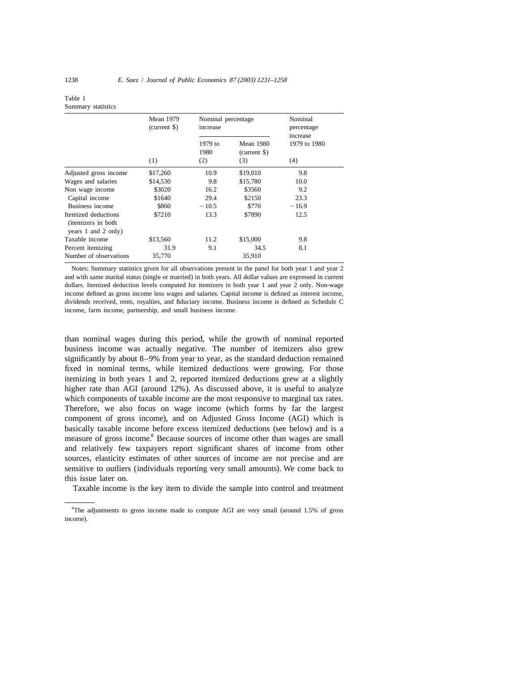|                                                                   | <b>Mean 1979</b><br>$(current \$ | Nominal percentage<br>increase |                | Nominal<br>percentage<br>increase |  |
|-------------------------------------------------------------------|----------------------------------|--------------------------------|----------------|-----------------------------------|--|
|                                                                   | (1)                              | 1979 to<br>1980<br>(2)         |                | 1979 to 1980<br>(4)               |  |
| Adjusted gross income                                             | \$17,260                         | 10.9                           | \$19,010       | 9.8                               |  |
| Wages and salaries                                                | \$14,530                         | 9.8                            | \$15,780       | 10.0                              |  |
| Non wage income                                                   | \$3020                           | 16.2                           | \$3560         | 9.2                               |  |
| Capital income                                                    | \$1640                           | 29.4                           | \$2150         | 23.3                              |  |
| Business income                                                   | \$860                            | $-10.5$                        | \$770          | $-16.9$                           |  |
| Itemized deductions<br>(itemizers in both)<br>years 1 and 2 only) | \$7210                           | 13.3                           | \$7890         | 12.5                              |  |
| Taxable income                                                    | \$13,560                         | 11.2                           | \$15,000       | 9.8                               |  |
| Percent itemizing<br>Number of observations                       | 31.9<br>35,770                   | 9.1                            | 34.5<br>35,910 | 8.1                               |  |

| Table 1            |  |
|--------------------|--|
| Summary statistics |  |

Notes: Summary statistics given for all observations present in the panel for both year 1 and year 2 and with same marital status (single or married) in both years. All dollar values are expressed in current dollars. Itemized deduction levels computed for itemizers in both year 1 and year 2 only. Non-wage income defined as gross income less wages and salaries. Capital income is defined as interest income, dividends received, rents, royalties, and fiduciary income. Business income is defined as Schedule C income, farm income, partnership, and small business income.

than nominal wages during this period, while the growth of nominal reported business income was actually negative. The number of itemizers also grew significantly by about 8–9% from year to year, as the standard deduction remained fixed in nominal terms, while itemized deductions were growing. For those itemizing in both years 1 and 2, reported itemized deductions grew at a slightly higher rate than AGI (around 12%). As discussed above, it is useful to analyze which components of taxable income are the most responsive to marginal tax rates. Therefore, we also focus on wage income (which forms by far the largest component of gross income), and on Adjusted Gross Income (AGI) which is basically taxable income before excess itemized deductions (see below) and is a measure of gross income.<sup>8</sup> Because sources of income other than wages are small and relatively few taxpayers report significant shares of income from other sources, elasticity estimates of other sources of income are not precise and are sensitive to outliers (individuals reporting very small amounts). We come back to this issue later on.

Taxable income is the key item to divide the sample into control and treatment

<sup>&</sup>lt;sup>8</sup>The adjustments to gross income made to compute AGI are very small (around 1.5% of gross income).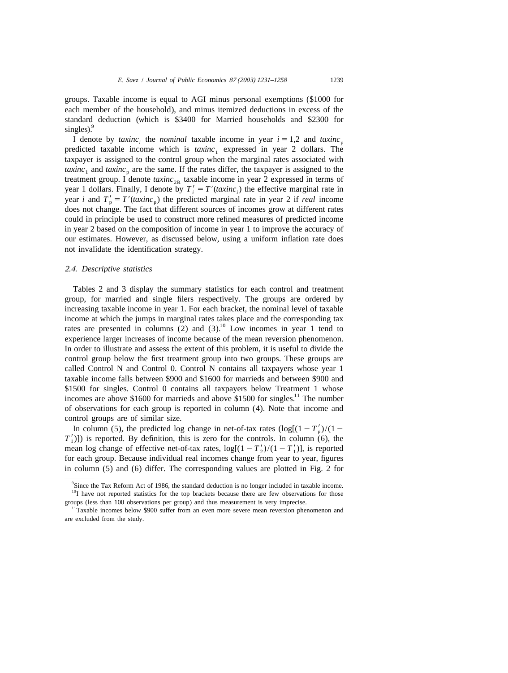groups. Taxable income is equal to AGI minus personal exemptions (\$1000 for each member of the household), and minus itemized deductions in excess of the standard deduction (which is  $$3400$  for Married households and  $$2300$  for singles).<sup>9</sup>

I denote by *taxinc*, the *nominal* taxable income in year  $i = 1,2$  and *taxinc* predicted taxable income which is *taxinc*, expressed in year 2 dollars. The taxpayer is assigned to the control group when the marginal rates associated with *taxinc*, and *taxinc*<sub>p</sub> are the same. If the rates differ, the taxpayer is assigned to the treatment group. I denote  $\arcsin z_{\text{RR}}$  taxable income in year 2 expressed in terms of year 1 dollars. Finally, I denote by  $T_i' = T'(taxinc_i)$  the effective marginal rate in year *i* and  $T_p' = T'(taxinc_p)$  the predicted marginal rate in year 2 if *real* income does not change. The fact that different sources of incomes grow at different rates could in principle be used to construct more refined measures of predicted income in year 2 based on the composition of income in year 1 to improve the accuracy of our estimates. However, as discussed below, using a uniform inflation rate does not invalidate the identification strategy.

#### 2.4. *Descriptive statistics*

Tables 2 and 3 display the summary statistics for each control and treatment group, for married and single filers respectively. The groups are ordered by increasing taxable income in year 1. For each bracket, the nominal level of taxable income at which the jumps in marginal rates takes place and the corresponding tax rates are presented in columns (2) and  $(3)$ .<sup>10</sup> Low incomes in year 1 tend to experience larger increases of income because of the mean reversion phenomenon. In order to illustrate and assess the extent of this problem, it is useful to divide the control group below the first treatment group into two groups. These groups are called Control N and Control 0. Control N contains all taxpayers whose year 1 taxable income falls between \$900 and \$1600 for marrieds and between \$900 and \$1500 for singles. Control 0 contains all taxpayers below Treatment 1 whose incomes are above \$1600 for marrieds and above \$1500 for singles.<sup>11</sup> The number of observations for each group is reported in column (4). Note that income and control groups are of similar size.

In column (5), the predicted log change in net-of-tax rates  $(\log[(1 - T_p')/(1 T'_1$ ]) is reported. By definition, this is zero for the controls. In column (6), the mean log change of effective net-of-tax rates,  $log[(1 - T'_2)/(1 - T'_1)]$ , is reported for each group. Because individual real incomes change from year to year, figures in column (5) and (6) differ. The corresponding values are plotted in Fig. 2 for

<sup>&</sup>lt;sup>9</sup>Since the Tax Reform Act of 1986, the standard deduction is no longer included in taxable income. <sup>10</sup>I have not reported statistics for the top brackets because there are few observations for those

groups (less than 100 observations per group) and thus measurement is very imprecise. <sup>11</sup>Taxable incomes below \$900 suffer from an even more severe mean reversion phenomenon and

are excluded from the study.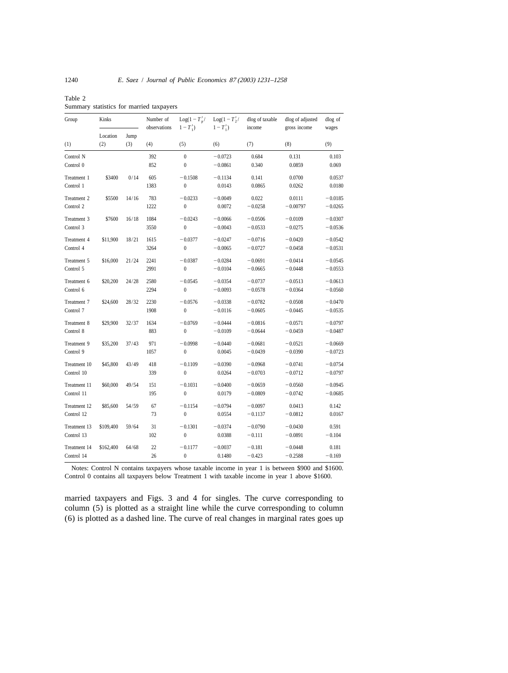| Group                      | Kinks           |             | Number of           | $Log(1 - T'_p)$                 | $Log(1 - T'_2)$        | dlog of taxable        | dlog of adjusted       | dlog of                |
|----------------------------|-----------------|-------------|---------------------|---------------------------------|------------------------|------------------------|------------------------|------------------------|
| (1)                        | Location<br>(2) | Jump<br>(3) | observations<br>(4) | $1-T_1'$ )<br>(5)               | $1-T_1'$<br>(6)        | income<br>(7)          | gross income<br>(8)    | wages<br>(9)           |
| Control N<br>Control 0     |                 |             | 392<br>852          | $\mathbf 0$<br>$\boldsymbol{0}$ | $-0.0723$<br>$-0.0861$ | 0.684<br>0.340         | 0.131<br>0.0859        | 0.103<br>0.069         |
| Treatment 1<br>Control 1   | \$3400          | 0/14        | 605<br>1383         | $-0.1508$<br>$\boldsymbol{0}$   | $-0.1134$<br>0.0143    | 0.141<br>0.0865        | 0.0700<br>0.0262       | 0.0537<br>0.0180       |
| Treatment 2<br>Control 2   | \$5500          | 14/16       | 783<br>1222         | $-0.0233$<br>$\boldsymbol{0}$   | $-0.0049$<br>0.0072    | 0.022<br>$-0.0258$     | 0.0111<br>$-0.00797$   | $-0.0185$<br>$-0.0265$ |
| Treatment 3<br>Control 3   | \$7600          | 16/18       | 1084<br>3550        | $-0.0243$<br>$\boldsymbol{0}$   | $-0.0066$<br>$-0.0043$ | $-0.0506$<br>$-0.0533$ | $-0.0109$<br>$-0.0275$ | $-0.0307$<br>$-0.0536$ |
| Treatment 4<br>Control 4   | \$11,900        | 18/21       | 1615<br>3264        | $-0.0377$<br>$\boldsymbol{0}$   | $-0.0247$<br>$-0.0065$ | $-0.0716$<br>$-0.0727$ | $-0.0420$<br>$-0.0458$ | $-0.0542$<br>$-0.0531$ |
| Treatment 5<br>Control 5   | \$16,000        | 21/24       | 2241<br>2991        | $-0.0387$<br>$\boldsymbol{0}$   | $-0.0284$<br>$-0.0104$ | $-0.0691$<br>$-0.0665$ | $-0.0414$<br>$-0.0448$ | $-0.0545$<br>$-0.0553$ |
| Treatment 6<br>Control 6   | \$20,200        | 24/28       | 2580<br>2294        | $-0.0545$<br>$\boldsymbol{0}$   | $-0.0354$<br>$-0.0093$ | $-0.0737$<br>$-0.0578$ | $-0.0513$<br>$-0.0364$ | $-0.0613$<br>$-0.0560$ |
| Treatment 7<br>Control 7   | \$24,600        | 28/32       | 2230<br>1908        | $-0.0576$<br>$\boldsymbol{0}$   | $-0.0338$<br>$-0.0116$ | $-0.0782$<br>$-0.0605$ | $-0.0508$<br>$-0.0445$ | $-0.0470$<br>$-0.0535$ |
| Treatment 8<br>Control 8   | \$29,900        | 32/37       | 1634<br>883         | $-0.0769$<br>$\boldsymbol{0}$   | $-0.0444$<br>$-0.0109$ | $-0.0816$<br>$-0.0644$ | $-0.0571$<br>$-0.0459$ | $-0.0797$<br>$-0.0487$ |
| Treatment 9<br>Control 9   | \$35,200        | 37/43       | 971<br>1057         | $-0.0998$<br>$\boldsymbol{0}$   | $-0.0440$<br>0.0045    | $-0.0681$<br>$-0.0439$ | $-0.0521$<br>$-0.0390$ | $-0.0669$<br>$-0.0723$ |
| Treatment 10<br>Control 10 | \$45,800        | 43/49       | 418<br>339          | $-0.1109$<br>$\boldsymbol{0}$   | $-0.0390$<br>0.0264    | $-0.0968$<br>$-0.0703$ | $-0.0741$<br>$-0.0712$ | $-0.0754$<br>$-0.0797$ |
| Treatment 11<br>Control 11 | \$60,000        | 49/54       | 151<br>195          | $-0.1031$<br>$\boldsymbol{0}$   | $-0.0400$<br>0.0179    | $-0.0659$<br>$-0.0809$ | $-0.0560$<br>$-0.0742$ | $-0.0945$<br>$-0.0685$ |
| Treatment 12<br>Control 12 | \$85,600        | 54/59       | 67<br>73            | $-0.1154$<br>$\boldsymbol{0}$   | $-0.0794$<br>0.0554    | $-0.0097$<br>$-0.1137$ | 0.0413<br>$-0.0812$    | 0.142<br>0.0167        |
| Treatment 13<br>Control 13 | \$109,400       | 59/64       | 31<br>102           | $-0.1301$<br>$\boldsymbol{0}$   | $-0.0374$<br>0.0388    | $-0.0790$<br>$-0.111$  | $-0.0430$<br>$-0.0891$ | 0.591<br>$-0.104$      |
| Treatment 14<br>Control 14 | \$162,400       | 64/68       | 22<br>26            | $-0.1177$<br>$\boldsymbol{0}$   | $-0.0037$<br>0.1480    | $-0.181$<br>$-0.423$   | $-0.0448$<br>$-0.2588$ | 0.181<br>$-0.169$      |

Table 2 Summary statistics for married taxpayers

Notes: Control N contains taxpayers whose taxable income in year 1 is between \$900 and \$1600. Control 0 contains all taxpayers below Treatment 1 with taxable income in year 1 above \$1600.

married taxpayers and Figs. 3 and 4 for singles. The curve corresponding to column (5) is plotted as a straight line while the curve corresponding to column (6) is plotted as a dashed line. The curve of real changes in marginal rates goes up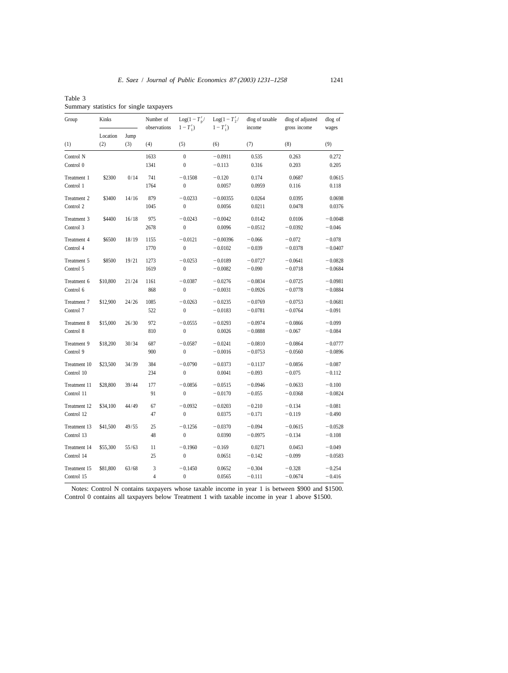| Group                      | Kinks           |             | Number of           | $Log(1 - T'_p)$                      | $Log(1 - T'_2)$         | dlog of taxable        | dlog of adjusted       | dlog of                |  |
|----------------------------|-----------------|-------------|---------------------|--------------------------------------|-------------------------|------------------------|------------------------|------------------------|--|
| (1)                        | Location<br>(2) | Jump<br>(3) | observations<br>(4) | $1-T_1'$<br>(5)                      | $1-T_1'$ )<br>(6)       | income<br>(7)          | gross income<br>(8)    | wages<br>(9)           |  |
| Control N<br>Control 0     |                 |             | 1633<br>1341        | $\boldsymbol{0}$<br>$\boldsymbol{0}$ | $-0.0911$<br>$-0.113$   | 0.535<br>0.316         | 0.263<br>0.203         | 0.272<br>0.205         |  |
| Treatment 1<br>Control 1   | \$2300          | 0/14        | 741<br>1764         | $-0.1508$<br>$\boldsymbol{0}$        | $-0.120$<br>0.0057      | 0.174<br>0.0959        | 0.0687<br>0.116        | 0.0615<br>0.118        |  |
| Treatment 2<br>Control 2   | \$3400          | 14/16       | 879<br>1045         | $-0.0233$<br>$\boldsymbol{0}$        | $-0.00355$<br>0.0056    | 0.0264<br>0.0211       | 0.0395<br>0.0478       | 0.0698<br>0.0376       |  |
| Treatment 3<br>Control 3   | \$4400          | 16/18       | 975<br>2678         | $-0.0243$<br>$\mathbf{0}$            | $-0.0042$<br>0.0096     | 0.0142<br>$-0.0512$    | 0.0106<br>$-0.0392$    | $-0.0048$<br>$-0.046$  |  |
| Treatment 4<br>Control 4   | \$6500          | 18/19       | 1155<br>1770        | $-0.0121$<br>$\boldsymbol{0}$        | $-0.00396$<br>$-0.0102$ | $-0.066$<br>$-0.039$   | $-0.072$<br>$-0.0378$  | $-0.078$<br>$-0.0407$  |  |
| Treatment 5<br>Control 5   | \$8500          | 19/21       | 1273<br>1619        | $-0.0253$<br>$\boldsymbol{0}$        | $-0.0189$<br>$-0.0082$  | $-0.0727$<br>$-0.090$  | $-0.0641$<br>$-0.0718$ | $-0.0828$<br>$-0.0684$ |  |
| Treatment 6<br>Control 6   | \$10,800        | 21/24       | 1161<br>868         | $-0.0387$<br>$\boldsymbol{0}$        | $-0.0276$<br>$-0.0031$  | $-0.0834$<br>$-0.0926$ | $-0.0725$<br>$-0.0778$ | $-0.0981$<br>$-0.0884$ |  |
| Treatment 7<br>Control 7   | \$12,900        | 24/26       | 1085<br>522         | $-0.0263$<br>$\mathbf{0}$            | $-0.0235$<br>$-0.0183$  | $-0.0769$<br>$-0.0781$ | $-0.0753$<br>$-0.0764$ | $-0.0681$<br>$-0.091$  |  |
| Treatment 8<br>Control 8   | \$15,000        | 26/30       | 972<br>810          | $-0.0555$<br>$\boldsymbol{0}$        | $-0.0293$<br>0.0026     | $-0.0974$<br>$-0.0888$ | $-0.0866$<br>$-0.067$  | $-0.099$<br>$-0.084$   |  |
| Treatment 9<br>Control 9   | \$18,200        | 30/34       | 687<br>900          | $-0.0587$<br>$\boldsymbol{0}$        | $-0.0241$<br>$-0.0016$  | $-0.0810$<br>$-0.0753$ | $-0.0864$<br>$-0.0560$ | $-0.0777$<br>$-0.0896$ |  |
| Treatment 10<br>Control 10 | \$23,500        | 34/39       | 384<br>234          | $-0.0790$<br>$\boldsymbol{0}$        | $-0.0373$<br>0.0041     | $-0.1137$<br>$-0.093$  | $-0.0856$<br>$-0.075$  | $-0.087$<br>$-0.112$   |  |
| Treatment 11<br>Control 11 | \$28,800        | 39/44       | 177<br>91           | $-0.0856$<br>$\mathbf{0}$            | $-0.0515$<br>$-0.0170$  | $-0.0946$<br>$-0.055$  | $-0.0633$<br>$-0.0368$ | $-0.100$<br>$-0.0824$  |  |
| Treatment 12<br>Control 12 | \$34,100        | 44/49       | 67<br>47            | $-0.0932$<br>$\boldsymbol{0}$        | $-0.0203$<br>0.0375     | $-0.210$<br>$-0.171$   | $-0.134$<br>$-0.119$   | $-0.081$<br>$-0.490$   |  |
| Treatment 13<br>Control 13 | \$41,500        | 49/55       | 25<br>48            | $-0.1256$<br>$\boldsymbol{0}$        | $-0.0370$<br>0.0390     | $-0.094$<br>$-0.0975$  | $-0.0615$<br>$-0.134$  | $-0.0528$<br>$-0.108$  |  |
| Treatment 14<br>Control 14 | \$55,300        | 55/63       | 11<br>25            | $-0.1960$<br>$\boldsymbol{0}$        | $-0.169$<br>0.0651      | 0.0271<br>$-0.142$     | 0.0453<br>$-0.099$     | $-0.049$<br>$-0.0583$  |  |
| Treatment 15<br>Control 15 | \$81,800        | 63/68       | 3<br>$\overline{4}$ | $-0.1450$<br>$\boldsymbol{0}$        | 0.0652<br>0.0565        | $-0.304$<br>$-0.111$   | $-0.328$<br>$-0.0674$  | $-0.254$<br>$-0.416$   |  |

Table 3 Summary statistics for single taxpayers

Notes: Control N contains taxpayers whose taxable income in year 1 is between \$900 and \$1500. Control 0 contains all taxpayers below Treatment 1 with taxable income in year 1 above \$1500.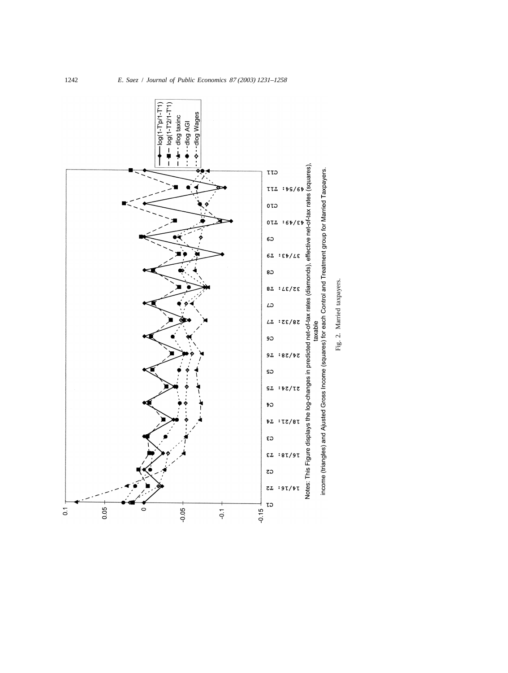

1242 *E*. *Saez* / *Journal of Public Economics* 87 (2003) 1231–1258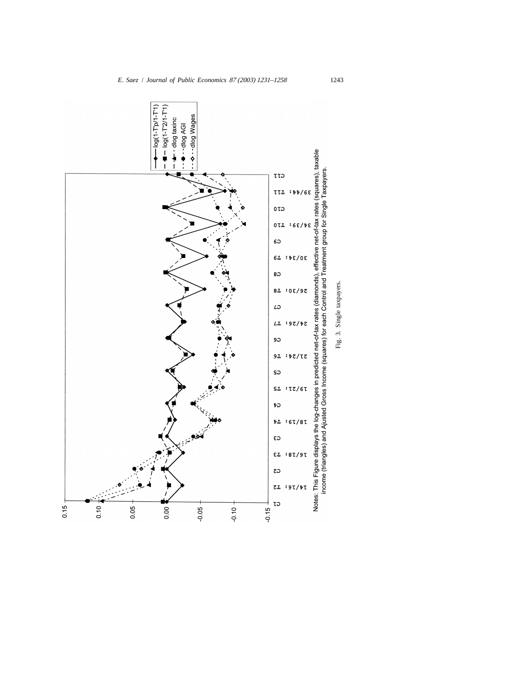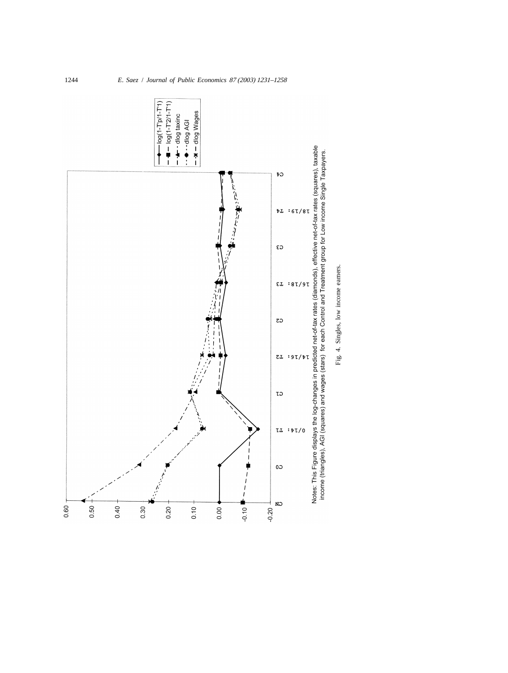

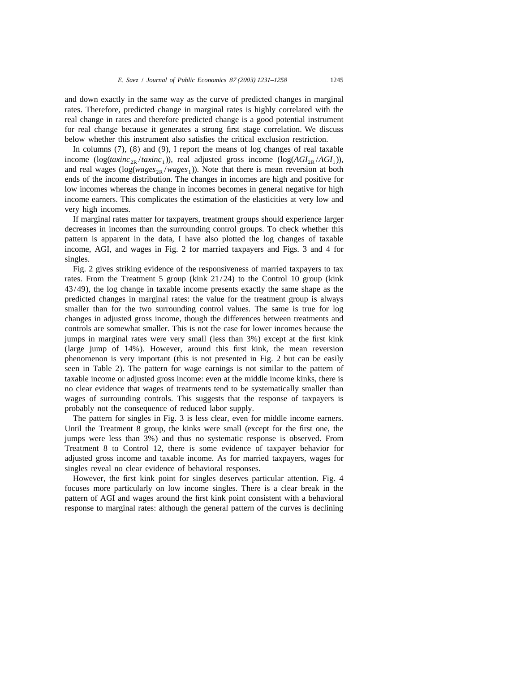and down exactly in the same way as the curve of predicted changes in marginal rates. Therefore, predicted change in marginal rates is highly correlated with the real change in rates and therefore predicted change is a good potential instrument for real change because it generates a strong first stage correlation. We discuss below whether this instrument also satisfies the critical exclusion restriction.

In columns (7), (8) and (9), I report the means of log changes of real taxable income ( $log(taxinc_{2R}/taxinc_{1})$ ), real adjusted gross income ( $log(AGI_{2R}/AGI_{1})$ ), and real wages ( $log(wages_{2R}/wages_1)$ ). Note that there is mean reversion at both ends of the income distribution. The changes in incomes are high and positive for low incomes whereas the change in incomes becomes in general negative for high income earners. This complicates the estimation of the elasticities at very low and very high incomes.

If marginal rates matter for taxpayers, treatment groups should experience larger decreases in incomes than the surrounding control groups. To check whether this pattern is apparent in the data, I have also plotted the log changes of taxable income, AGI, and wages in Fig. 2 for married taxpayers and Figs. 3 and 4 for singles.

Fig. 2 gives striking evidence of the responsiveness of married taxpayers to tax rates. From the Treatment 5 group (kink 21/24) to the Control 10 group (kink 43/49), the log change in taxable income presents exactly the same shape as the predicted changes in marginal rates: the value for the treatment group is always smaller than for the two surrounding control values. The same is true for log changes in adjusted gross income, though the differences between treatments and controls are somewhat smaller. This is not the case for lower incomes because the jumps in marginal rates were very small (less than 3%) except at the first kink (large jump of 14%). However, around this first kink, the mean reversion phenomenon is very important (this is not presented in Fig. 2 but can be easily seen in Table 2). The pattern for wage earnings is not similar to the pattern of taxable income or adjusted gross income: even at the middle income kinks, there is no clear evidence that wages of treatments tend to be systematically smaller than wages of surrounding controls. This suggests that the response of taxpayers is probably not the consequence of reduced labor supply.

The pattern for singles in Fig. 3 is less clear, even for middle income earners. Until the Treatment 8 group, the kinks were small (except for the first one, the jumps were less than 3%) and thus no systematic response is observed. From Treatment 8 to Control 12, there is some evidence of taxpayer behavior for adjusted gross income and taxable income. As for married taxpayers, wages for singles reveal no clear evidence of behavioral responses.

However, the first kink point for singles deserves particular attention. Fig. 4 focuses more particularly on low income singles. There is a clear break in the pattern of AGI and wages around the first kink point consistent with a behavioral response to marginal rates: although the general pattern of the curves is declining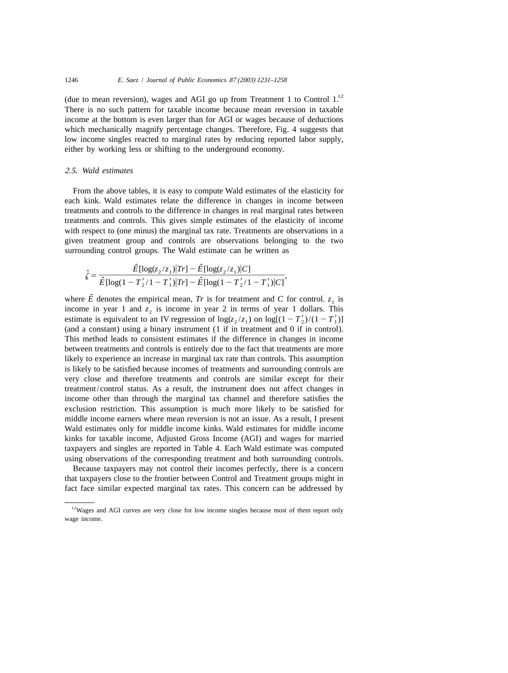(due to mean reversion), wages and AGI go up from Treatment 1 to Control  $1<sup>12</sup>$ There is no such pattern for taxable income because mean reversion in taxable income at the bottom is even larger than for AGI or wages because of deductions which mechanically magnify percentage changes. Therefore, Fig. 4 suggests that low income singles reacted to marginal rates by reducing reported labor supply, either by working less or shifting to the underground economy.

#### 2.5. *Wald estimates*

From the above tables, it is easy to compute Wald estimates of the elasticity for each kink. Wald estimates relate the difference in changes in income between treatments and controls to the difference in changes in real marginal rates between treatments and controls. This gives simple estimates of the elasticity of income with respect to (one minus) the marginal tax rate. Treatments are observations in a given treatment group and controls are observations belonging to the two surrounding control groups. The Wald estimate can be written as

$$
\hat{\zeta} = \frac{\hat{E}[\log(z_2/z_1)|Tr] - \hat{E}[\log(z_2/z_1)|C]}{\hat{E}[\log(1 - T_2'/1 - T_1')|Tr] - \hat{E}[\log(1 - T_2'/1 - T_1')|C]},
$$

where  $\hat{E}$  denotes the empirical mean, *Tr* is for treatment and *C* for control.  $z_1$  is income in year 1 and  $z_2$  is income in year 2 in terms of year 1 dollars. This estimate is equivalent to an IV regression of  $\log(z_2/z_1)$  on  $\log[(1-T_2')/(1-T_1')]$ (and a constant) using a binary instrument (1 if in treatment and 0 if in control). This method leads to consistent estimates if the difference in changes in income between treatments and controls is entirely due to the fact that treatments are more likely to experience an increase in marginal tax rate than controls. This assumption is likely to be satisfied because incomes of treatments and surrounding controls are very close and therefore treatments and controls are similar except for their treatment/control status. As a result, the instrument does not affect changes in income other than through the marginal tax channel and therefore satisfies the exclusion restriction. This assumption is much more likely to be satisfied for middle income earners where mean reversion is not an issue. As a result, I present Wald estimates only for middle income kinks. Wald estimates for middle income kinks for taxable income, Adjusted Gross Income (AGI) and wages for married taxpayers and singles are reported in Table 4. Each Wald estimate was computed using observations of the corresponding treatment and both surrounding controls.

Because taxpayers may not control their incomes perfectly, there is a concern that taxpayers close to the frontier between Control and Treatment groups might in fact face similar expected marginal tax rates. This concern can be addressed by

<sup>&</sup>lt;sup>12</sup>Wages and AGI curves are very close for low income singles because most of them report only wage income.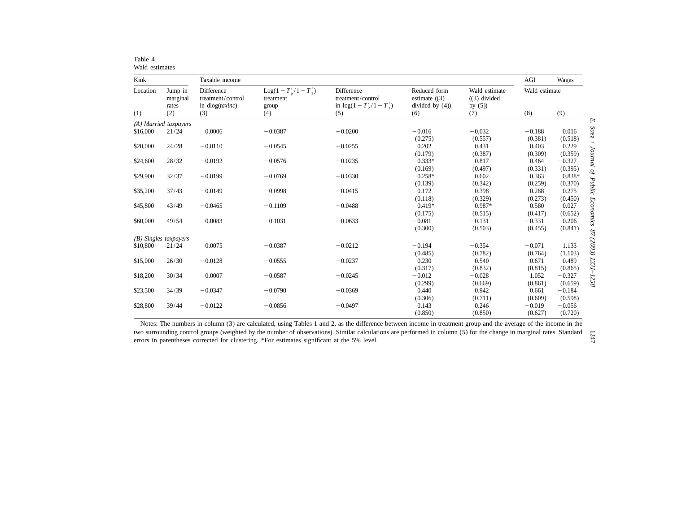| Table 4 |                |
|---------|----------------|
|         | Wald estimates |

| Kink     |                              | Taxable income                                     |                                                |                                                                 |                                                      |                                             | AGI           | Wages    |
|----------|------------------------------|----------------------------------------------------|------------------------------------------------|-----------------------------------------------------------------|------------------------------------------------------|---------------------------------------------|---------------|----------|
| Location | Jump in<br>marginal<br>rates | Difference<br>treatment/control<br>in dlog(taxinc) | $Log(1 - T'_p/1 - T'_1)$<br>treatment<br>group | Difference<br>treatment/control<br>in $\log(1 - T_2'/1 - T_1')$ | Reduced form<br>estimate $(3)$<br>divided by $(4)$ ) | Wald estimate<br>$((3)$ divided<br>by $(5)$ | Wald estimate |          |
| (1)      | (2)                          | (3)                                                | (4)                                            | (5)                                                             | (6)                                                  | (7)                                         | (8)           | (9)      |
|          | (A) Married taxpayers        |                                                    |                                                |                                                                 |                                                      |                                             |               |          |
| \$16,000 | 21/24                        | 0.0006                                             | $-0.0387$                                      | $-0.0200$                                                       | $-0.016$                                             | $-0.032$                                    | $-0.188$      | 0.016    |
|          |                              |                                                    |                                                |                                                                 | (0.275)                                              | (0.557)                                     | (0.381)       | (0.518)  |
| \$20,000 | 24/28                        | $-0.0110$                                          | $-0.0545$                                      | $-0.0255$                                                       | 0.202                                                | 0.431                                       | 0.403         | 0.229    |
|          |                              |                                                    |                                                |                                                                 | (0.179)                                              | (0.387)                                     | (0.309)       | (0.359)  |
| \$24,600 | 28/32                        | $-0.0192$                                          | $-0.0576$                                      | $-0.0235$                                                       | $0.333*$                                             | 0.817                                       | 0.464         | $-0.327$ |
|          |                              |                                                    |                                                |                                                                 | (0.169)                                              | (0.497)                                     | (0.331)       | (0.395)  |
| \$29,900 | 32/37                        | $-0.0199$                                          | $-0.0769$                                      | $-0.0330$                                                       | $0.258*$                                             | 0.602                                       | 0.363         | 0.838*   |
|          |                              |                                                    |                                                |                                                                 | (0.139)                                              | (0.342)                                     | (0.259)       | (0.370)  |
| \$35,200 | 37/43                        | $-0.0149$                                          | $-0.0998$                                      | $-0.0415$                                                       | 0.172                                                | 0.398                                       | 0.288         | 0.275    |
|          |                              |                                                    |                                                |                                                                 | (0.118)                                              | (0.329)                                     | (0.273)       | (0.450)  |
| \$45,800 | 43/49                        | $-0.0465$                                          | $-0.1109$                                      | $-0.0488$                                                       | $0.419*$                                             | 0.987*                                      | 0.580         | 0.027    |
|          |                              |                                                    |                                                |                                                                 | (0.175)                                              | (0.515)                                     | (0.417)       | (0.652)  |
| \$60,000 | 49/54                        | 0.0083                                             | $-0.1031$                                      | $-0.0633$                                                       | $-0.081$                                             | $-0.131$                                    | $-0.331$      | 0.206    |
|          |                              |                                                    |                                                |                                                                 | (0.300)                                              | (0.503)                                     | (0.455)       | (0.841)  |
|          | (B) Singles taxpayers        |                                                    |                                                |                                                                 |                                                      |                                             |               |          |
| \$10,800 | 21/24                        | 0.0075                                             | $-0.0387$                                      | $-0.0212$                                                       | $-0.194$                                             | $-0.354$                                    | $-0.071$      | 1.133    |
|          |                              |                                                    |                                                |                                                                 | (0.485)                                              | (0.782)                                     | (0.764)       | (1.103)  |
| \$15,000 | 26/30                        | $-0.0128$                                          | $-0.0555$                                      | $-0.0237$                                                       | 0.230                                                | 0.540                                       | 0.671         | 0.489    |
|          |                              |                                                    |                                                |                                                                 | (0.317)                                              | (0.832)                                     | (0.815)       | (0.865)  |
| \$18,200 | 30/34                        | 0.0007                                             | $-0.0587$                                      | $-0.0245$                                                       | $-0.012$                                             | $-0.028$                                    | 1.052         | $-0.327$ |
|          |                              |                                                    |                                                |                                                                 | (0.299)                                              | (0.669)                                     | (0.861)       | (0.659)  |
| \$23,500 | 34/39                        | $-0.0347$                                          | $-0.0790$                                      | $-0.0369$                                                       | 0.440                                                | 0.942                                       | 0.661         | $-0.184$ |
|          |                              |                                                    |                                                |                                                                 | (0.306)                                              | (0.711)                                     | (0.609)       | (0.598)  |
| \$28,800 | 39/44                        | $-0.0122$                                          | $-0.0856$                                      | $-0.0497$                                                       | 0.143                                                | 0.246                                       | $-0.019$      | $-0.056$ |
|          |                              |                                                    |                                                |                                                                 | (0.850)                                              | (0.850)                                     | (0.627)       | (0.720)  |

Notes: The numbers in column (3) are calculated, using Tables 1 and 2, as the difference between income in treatment group and the average of the income in the two surrounding control groups (weighted by the number of observations). Similar calculations are performed in column (5) for the change in marginal rates. Standard errors in parentheses corrected for clustering. \*For estimates significant at the 5% level.

1247

*E* .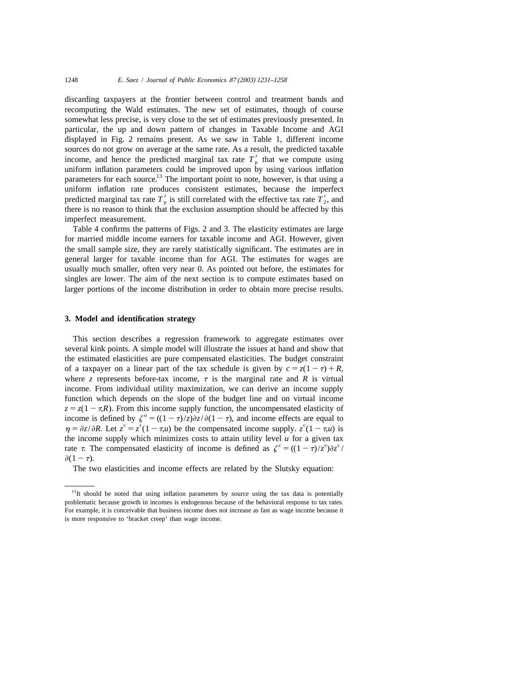discarding taxpayers at the frontier between control and treatment bands and recomputing the Wald estimates. The new set of estimates, though of course somewhat less precise, is very close to the set of estimates previously presented. In particular, the up and down pattern of changes in Taxable Income and AGI displayed in Fig. 2 remains present. As we saw in Table 1, different income sources do not grow on average at the same rate. As a result, the predicted taxable income, and hence the predicted marginal tax rate  $T'_{p}$  that we compute using uniform inflation parameters could be improved upon by using various inflation parameters for each source.<sup>13</sup> The important point to note, however, is that using a uniform inflation rate produces consistent estimates, because the imperfect predicted marginal tax rate  $T'_{p}$  is still correlated with the effective tax rate  $T'_{2}$ , and there is no reason to think that the exclusion assumption should be affected by this imperfect measurement.

Table 4 confirms the patterns of Figs. 2 and 3. The elasticity estimates are large for married middle income earners for taxable income and AGI. However, given the small sample size, they are rarely statistically significant. The estimates are in general larger for taxable income than for AGI. The estimates for wages are usually much smaller, often very near 0. As pointed out before, the estimates for singles are lower. The aim of the next section is to compute estimates based on larger portions of the income distribution in order to obtain more precise results.

## **3. Model and identification strategy**

This section describes a regression framework to aggregate estimates over several kink points. A simple model will illustrate the issues at hand and show that the estimated elasticities are pure compensated elasticities. The budget constraint of a taxpayer on a linear part of the tax schedule is given by  $c = z(1 - \tau) + R$ , where *z* represents before-tax income,  $\tau$  is the marginal rate and *R* is virtual income. From individual utility maximization, we can derive an income supply function which depends on the slope of the budget line and on virtual income  $z = z(1 - \tau, R)$ . From this income supply function, the uncompensated elasticity of income is defined by  $\zeta^u = ((1 - \tau)/z)\partial z/\partial (1 - \tau)$ , and income effects are equal to  $\eta = \partial z/\partial R$ . Let  $z^c = z^c(1 - \tau, u)$  be the compensated incom the income supply which minimizes costs to attain utility level *u* for a given tax rate  $\tau$ . The compensated elasticity of income is defined as  $\zeta^c = ((1 - \tau)/z^c)\partial z^c$  $\partial(1 - \tau)$ .

The two elasticities and income effects are related by the Slutsky equation:

<sup>&</sup>lt;sup>13</sup>It should be noted that using inflation parameters by source using the tax data is potentially problematic because growth in incomes is endogenous because of the behavioral response to tax rates. For example, it is conceivable that business income does not increase as fast as wage income because it is more responsive to 'bracket creep' than wage income.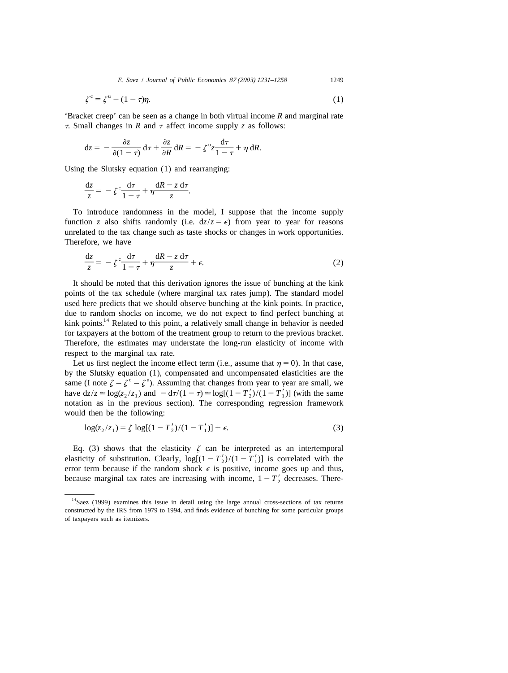*E*. *Saez* / *Journal of Public Economics* 87 (2003) 1231–1258 1249

$$
\zeta^c = \zeta^u - (1 - \tau)\eta. \tag{1}
$$

'Bracket creep' can be seen as a change in both virtual income *R* and marginal rate  $\tau$ . Small changes in *R* and  $\tau$  affect income supply *z* as follows:

$$
dz = -\frac{\partial z}{\partial (1-\tau)} d\tau + \frac{\partial z}{\partial R} dR = -\zeta^{u} z \frac{d\tau}{1-\tau} + \eta dR.
$$

Using the Slutsky equation (1) and rearranging:

$$
\frac{\mathrm{d}z}{z} = -\zeta^{\circ} \frac{\mathrm{d}\tau}{1-\tau} + \eta \frac{\mathrm{d}R - z \mathrm{d}\tau}{z}.
$$

To introduce randomness in the model, I suppose that the income supply function *z* also shifts randomly (i.e.  $dz/z = \epsilon$ ) from year to year for reasons unrelated to the tax change such as taste shocks or changes in work opportunities. Therefore, we have

$$
\frac{dz}{z} = -\zeta^c \frac{d\tau}{1-\tau} + \eta \frac{dR - z d\tau}{z} + \epsilon.
$$
 (2)

It should be noted that this derivation ignores the issue of bunching at the kink points of the tax schedule (where marginal tax rates jump). The standard model used here predicts that we should observe bunching at the kink points. In practice, due to random shocks on income, we do not expect to find perfect bunching at kink points.<sup>14</sup> Related to this point, a relatively small change in behavior is needed for taxpayers at the bottom of the treatment group to return to the previous bracket. Therefore, the estimates may understate the long-run elasticity of income with respect to the marginal tax rate.

Let us first neglect the income effect term (i.e., assume that  $\eta = 0$ ). In that case, by the Slutsky equation (1), compensated and uncompensated elasticities are the same (I note  $\zeta = \zeta^c = \zeta^u$ ). Assuming that changes from year to year are small, we have  $dz/z \approx log(z_2/z_1)$  and  $-d\tau/(1 - \tau) \approx log[(1 - T'_2)/(1 - T'_1)]$  (with the same notation as in the previous section). The corresponding regression framework would then be the following:

$$
\log(z_2/z_1) = \zeta \log[(1 - T_2')/(1 - T_1')] + \epsilon.
$$
 (3)

Eq. (3) shows that the elasticity  $\zeta$  can be interpreted as an intertemporal elasticity of substitution. Clearly,  $\log[(1 - T_2')/(1 - T_1')]$  is correlated with the error term because if the random shock  $\epsilon$  is positive, income goes up and thus, because marginal tax rates are increasing with income,  $1 - T'$  decreases. There-

 $14$ Saez (1999) examines this issue in detail using the large annual cross-sections of tax returns constructed by the IRS from 1979 to 1994, and finds evidence of bunching for some particular groups of taxpayers such as itemizers.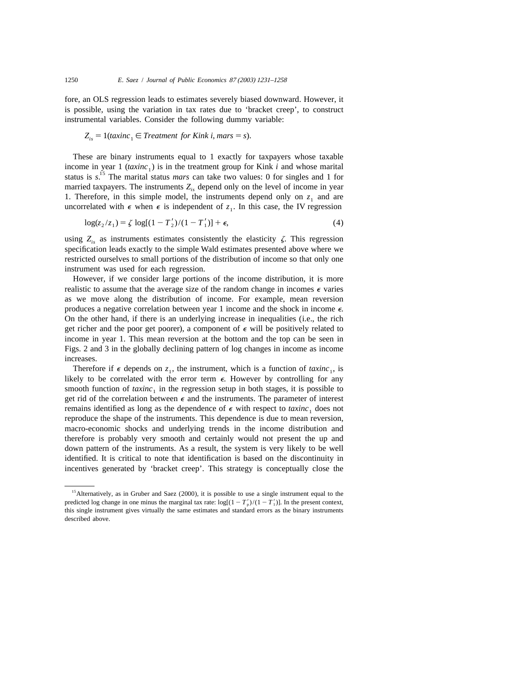fore, an OLS regression leads to estimates severely biased downward. However, it is possible, using the variation in tax rates due to 'bracket creep', to construct instrumental variables. Consider the following dummy variable:

$$
Z_{is} = 1(taxinc_1 \in Treatment\ for\ Kink\ i,\ mars = s).
$$

These are binary instruments equal to 1 exactly for taxpayers whose taxable income in year 1 ( $taxinc_1$ ) is in the treatment group for Kink *i* and whose marital status is  $s^{15}$ . The marital status *mars* can take two values: 0 for singles and 1 for married taxpayers. The instruments  $Z_i$ , depend only on the level of income in year 1. Therefore, in this simple model, the instruments depend only on  $z_1$  and are uncorrelated with  $\epsilon$  when  $\epsilon$  is independent of  $z_1$ . In this case, the IV regression

$$
\log(z_2/z_1) = \zeta \log[(1 - T_2')/(1 - T_1')] + \epsilon,
$$
\n(4)

using  $Z_i$ , as instruments estimates consistently the elasticity  $\zeta$ . This regression specification leads exactly to the simple Wald estimates presented above where we restricted ourselves to small portions of the distribution of income so that only one instrument was used for each regression.

However, if we consider large portions of the income distribution, it is more realistic to assume that the average size of the random change in incomes  $\epsilon$  varies as we move along the distribution of income. For example, mean reversion produces a negative correlation between year 1 income and the shock in income  $\epsilon$ . On the other hand, if there is an underlying increase in inequalities (i.e., the rich get richer and the poor get poorer), a component of  $\epsilon$  will be positively related to income in year 1. This mean reversion at the bottom and the top can be seen in Figs. 2 and 3 in the globally declining pattern of log changes in income as income increases.

Therefore if  $\epsilon$  depends on  $z_1$ , the instrument, which is a function of *taxinc*<sub>1</sub>, is likely to be correlated with the error term  $\epsilon$ . However by controlling for any smooth function of  $\text{taxinc}_1$  in the regression setup in both stages, it is possible to get rid of the correlation between  $\epsilon$  and the instruments. The parameter of interest remains identified as long as the dependence of  $\epsilon$  with respect to *taxinc*, does not reproduce the shape of the instruments. This dependence is due to mean reversion, macro-economic shocks and underlying trends in the income distribution and therefore is probably very smooth and certainly would not present the up and down pattern of the instruments. As a result, the system is very likely to be well identified. It is critical to note that identification is based on the discontinuity in incentives generated by 'bracket creep'. This strategy is conceptually close the

<sup>&</sup>lt;sup>15</sup> Alternatively, as in Gruber and Saez (2000), it is possible to use a single instrument equal to the predicted log change in one minus the marginal tax rate:  $log[(1 - T'_p)/(1 - T'_1)]$ . In the present context, this single instrument gives virtually the same estimates and standard errors as the binary instruments described above.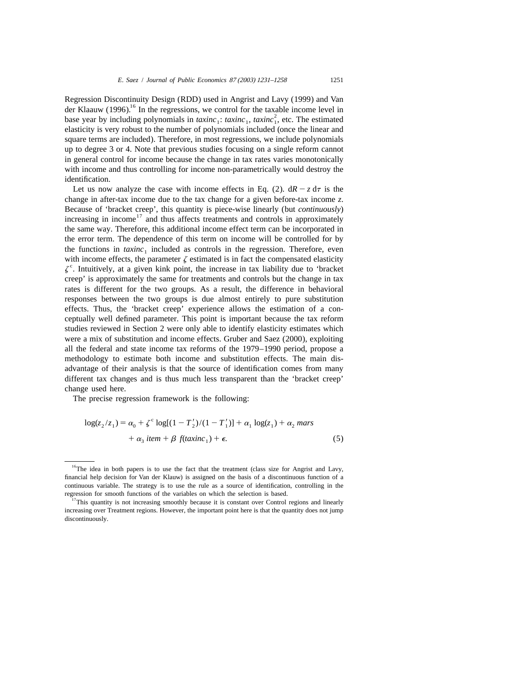Regression Discontinuity Design (RDD) used in Angrist and Lavy (1999) and Van<br>der Klaauw (1996).<sup>16</sup> In the regressions, we control for the taxable income level in<br>base year by including polynomials in *taxinc*<sub>1</sub>: *taxin* elasticity is very robust to the number of polynomials included (once the linear and square terms are included). Therefore, in most regressions, we include polynomials up to degree 3 or 4. Note that previous studies focusing on a single reform cannot in general control for income because the change in tax rates varies monotonically with income and thus controlling for income non-parametrically would destroy the identification.

Let us now analyze the case with income effects in Eq. (2).  $dR - z d\tau$  is the change in after-tax income due to the tax change for a given before-tax income *z*. Because of 'bracket creep', this quantity is piece-wise linearly (but *continuously*) increasing in income<sup>17</sup> and thus affects treatments and controls in approximately the same way. Therefore, this additional income effect term can be incorporated in the error term. The dependence of this term on income will be controlled for by the functions in *taxinc*<sub>1</sub> included as controls in the regression. Therefore, even with income effects, the parameter  $\zeta$  estimated is in fact the compensated elasticity  $\zeta^c$ . Intuitively, at a given kink point, the increase in tax liability due to 'bracket creep' is approximately the same for treatments and controls but the change in tax rates is different for the two groups. As a result, the difference in behavioral responses between the two groups is due almost entirely to pure substitution effects. Thus, the 'bracket creep' experience allows the estimation of a conceptually well defined parameter. This point is important because the tax reform studies reviewed in Section 2 were only able to identify elasticity estimates which were a mix of substitution and income effects. Gruber and Saez (2000), exploiting all the federal and state income tax reforms of the 1979–1990 period, propose a methodology to estimate both income and substitution effects. The main disadvantage of their analysis is that the source of identification comes from many different tax changes and is thus much less transparent than the 'bracket creep' change used here.

The precise regression framework is the following:

$$
\log(z_2/z_1) = \alpha_0 + \zeta^c \log[(1 - T_2')/(1 - T_1')] + \alpha_1 \log(z_1) + \alpha_2 \text{ mars}
$$
  
+  $\alpha_3 \text{ item} + \beta \text{ f}(taxinc_1) + \epsilon.$  (5)

<sup>&</sup>lt;sup>16</sup>The idea in both papers is to use the fact that the treatment (class size for Angrist and Lavy, financial help decision for Van der Klauw) is assigned on the basis of a discontinuous function of a continuous variable. The strategy is to use the rule as a source of identification, controlling in the regression for smooth functions of the variables on which the selection is based.

<sup>&</sup>lt;sup>17</sup>This quantity is not increasing smoothly because it is constant over Control regions and linearly increasing over Treatment regions. However, the important point here is that the quantity does not jump discontinuously.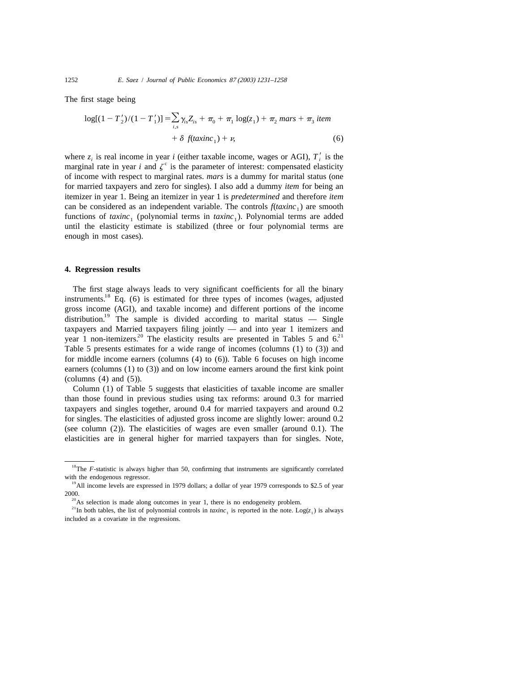The first stage being

$$
\log[(1 - T_2')/(1 - T_1')] = \sum_{i,s} \gamma_{is} Z_{is} + \pi_0 + \pi_1 \log(z_1) + \pi_2 \text{ mars} + \pi_3 \text{ item} + \delta \text{ f}(taxinc_1) + \nu,
$$
 (6)

where  $z_i$  is real income in year *i* (either taxable income, wages or AGI),  $T'_i$  is the marginal rate in year *i* and  $\zeta^c$  is the parameter of interest: compensated elasticity of income with respect to marginal rates. *mars* is a dummy for marital status (one for married taxpayers and zero for singles). I also add a dummy *item* for being an itemizer in year 1. Being an itemizer in year 1 is *predetermined* and therefore *item* can be considered as an independent variable. The controls  $f(taxinc_1)$  are smooth functions of  $\text{taxinc}_1$  (polynomial terms in  $\text{taxinc}_1$ ). Polynomial terms are added until the elasticity estimate is stabilized (three or four polynomial terms are enough in most cases).

#### **4. Regression results**

The first stage always leads to very significant coefficients for all the binary instruments.<sup>18</sup> Eq. (6) is estimated for three types of incomes (wages, adjusted gross income (AGI), and taxable income) and different portions of the income distribution.<sup>19</sup> The sample is divided according to marital status — Single taxpayers and Married taxpayers filing jointly — and into year 1 itemizers and year 1 non-itemizers.<sup>20</sup> The elasticity results are presented in Tables 5 and  $6<sup>21</sup>$ Table 5 presents estimates for a wide range of incomes (columns (1) to (3)) and for middle income earners (columns (4) to (6)). Table 6 focuses on high income earners (columns (1) to (3)) and on low income earners around the first kink point (columns  $(4)$  and  $(5)$ ).

Column (1) of Table 5 suggests that elasticities of taxable income are smaller than those found in previous studies using tax reforms: around 0.3 for married taxpayers and singles together, around 0.4 for married taxpayers and around 0.2 for singles. The elasticities of adjusted gross income are slightly lower: around 0.2 (see column (2)). The elasticities of wages are even smaller (around 0.1). The elasticities are in general higher for married taxpayers than for singles. Note,

<sup>&</sup>lt;sup>18</sup>The *F*-statistic is always higher than 50, confirming that instruments are significantly correlated with the endogenous regressor.

<sup>&</sup>lt;sup>19</sup>All income levels are expressed in 1979 dollars; a dollar of year 1979 corresponds to \$2.5 of year 2000.

 $^{20}$ As selection is made along outcomes in year 1, there is no endogeneity problem.

<sup>&</sup>lt;sup>21</sup>In both tables, the list of polynomial controls in  $\text{taxinc}_1$  is reported in the note. Log( $z_1$ ) is always included as a covariate in the regressions.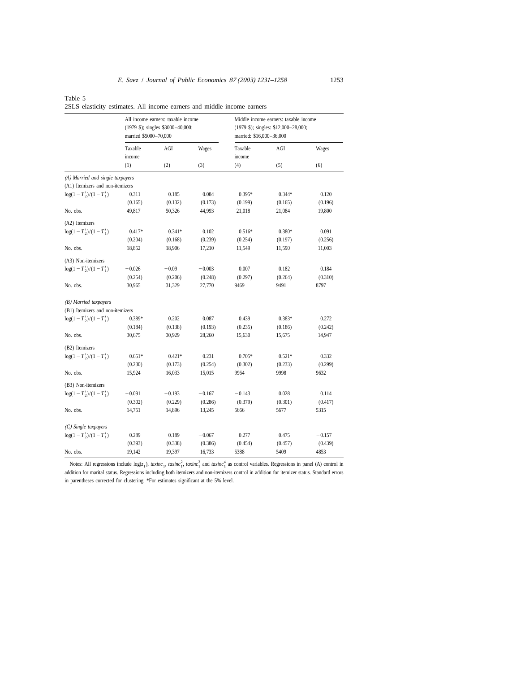|--|--|

2SLS elasticity estimates. All income earners and middle income earners

|                                  | All income earners: taxable income<br>(1979 \$); singles \$3000-40,000;<br>married \$5000-70,000 |          |          | Middle income earners: taxable income<br>(1979 \$); singles: \$12,000-28,000;<br>married: \$16,000-36,000 |          |          |  |
|----------------------------------|--------------------------------------------------------------------------------------------------|----------|----------|-----------------------------------------------------------------------------------------------------------|----------|----------|--|
|                                  | Taxable<br>income                                                                                | AGI      | Wages    | Taxable<br>income                                                                                         | AGI      | Wages    |  |
|                                  | (1)                                                                                              | (2)      | (3)      | (4)                                                                                                       | (5)      | (6)      |  |
| (A) Married and single taxpayers |                                                                                                  |          |          |                                                                                                           |          |          |  |
| (A1) Itemizers and non-itemizers |                                                                                                  |          |          |                                                                                                           |          |          |  |
| $log(1-T'_2)/(1-T'_1)$           | 0.311                                                                                            | 0.185    | 0.084    | 0.395*                                                                                                    | $0.344*$ | 0.120    |  |
|                                  | (0.165)                                                                                          | (0.132)  | (0.173)  | (0.199)                                                                                                   | (0.165)  | (0.196)  |  |
| No. obs.                         | 49,817                                                                                           | 50,326   | 44,993   | 21,018                                                                                                    | 21,084   | 19,800   |  |
| (A2) Itemizers                   |                                                                                                  |          |          |                                                                                                           |          |          |  |
| $log(1-T'_2)/(1-T'_1)$           | $0.417*$                                                                                         | $0.341*$ | 0.102    | $0.516*$                                                                                                  | $0.380*$ | 0.091    |  |
|                                  | (0.204)                                                                                          | (0.168)  | (0.239)  | (0.254)                                                                                                   | (0.197)  | (0.256)  |  |
| No. obs.                         | 18,852                                                                                           | 18,906   | 17,210   | 11,549                                                                                                    | 11,590   | 11,003   |  |
| (A3) Non-itemizers               |                                                                                                  |          |          |                                                                                                           |          |          |  |
| $log(1-T'_2)/(1-T'_1)$           | $-0.026$                                                                                         | $-0.09$  | $-0.003$ | 0.007                                                                                                     | 0.182    | 0.184    |  |
|                                  | (0.254)                                                                                          | (0.206)  | (0.248)  | (0.297)                                                                                                   | (0.264)  | (0.310)  |  |
| No. obs.                         | 30,965                                                                                           | 31,329   | 27,770   | 9469                                                                                                      | 9491     | 8797     |  |
| (B) Married taxpayers            |                                                                                                  |          |          |                                                                                                           |          |          |  |
| (B1) Itemizers and non-itemizers |                                                                                                  |          |          |                                                                                                           |          |          |  |
| $log(1-T'_2)/(1-T'_1)$           | 0.389*                                                                                           | 0.202    | 0.087    | 0.439                                                                                                     | $0.383*$ | 0.272    |  |
|                                  | (0.184)                                                                                          | (0.138)  | (0.193)  | (0.235)                                                                                                   | (0.186)  | (0.242)  |  |
| No. obs.                         | 30,675                                                                                           | 30,929   | 28,260   | 15,630                                                                                                    | 15,675   | 14,947   |  |
| (B2) Itemizers                   |                                                                                                  |          |          |                                                                                                           |          |          |  |
| $log(1-T'_2)/(1-T'_1)$           | $0.651*$                                                                                         | $0.421*$ | 0.231    | $0.705*$                                                                                                  | $0.521*$ | 0.332    |  |
|                                  | (0.230)                                                                                          | (0.173)  | (0.254)  | (0.302)                                                                                                   | (0.233)  | (0.299)  |  |
| No. obs.                         | 15,924                                                                                           | 16,033   | 15,015   | 9964                                                                                                      | 9998     | 9632     |  |
| (B3) Non-itemizers               |                                                                                                  |          |          |                                                                                                           |          |          |  |
| $log(1-T'_2)/(1-T'_1)$           | $-0.091$                                                                                         | $-0.193$ | $-0.167$ | $-0.143$                                                                                                  | 0.028    | 0.114    |  |
|                                  | (0.302)                                                                                          | (0.229)  | (0.286)  | (0.379)                                                                                                   | (0.301)  | (0.417)  |  |
| No. obs.                         | 14,751                                                                                           | 14,896   | 13,245   | 5666                                                                                                      | 5677     | 5315     |  |
| (C) Single taxpayers             |                                                                                                  |          |          |                                                                                                           |          |          |  |
| $log(1-T'_2)/(1-T'_1)$           | 0.289                                                                                            | 0.189    | $-0.067$ | 0.277                                                                                                     | 0.475    | $-0.157$ |  |
|                                  | (0.393)                                                                                          | (0.338)  | (0.386)  | (0.454)                                                                                                   | (0.457)  | (0.439)  |  |
| No. obs.                         | 19,142                                                                                           | 19,397   | 16,733   | 5388                                                                                                      | 5409     | 4853     |  |

Notes: All regressions include  $log(z_1)$ ,  $\text{taxinc}_1$ ,  $\text{taxinc}_1^2$ ,  $\text{taxinc}_1^3$  and  $\text{taxinc}_1^4$  as control variables. Regressions in panel (A) control in addition for marital status. Regressions including both itemizers and non-itemizers control in addition for itemizer status. Standard errors in parentheses corrected for clustering. \*For estimates significant at the 5% level.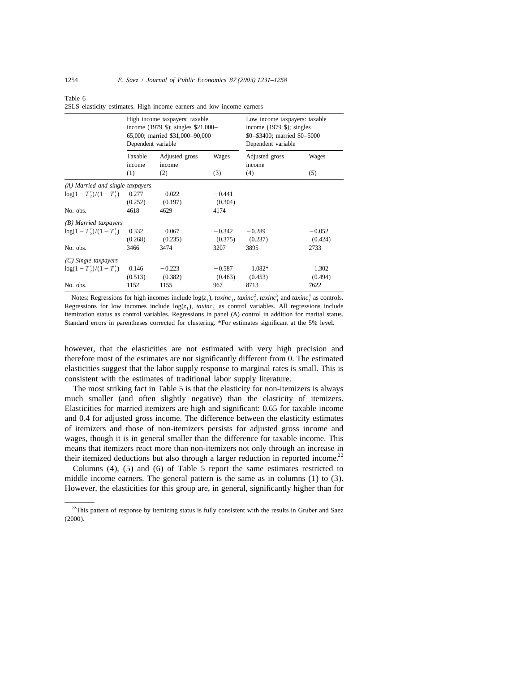|                                  | Dependent variable       | High income taxpayers: taxable<br>income $(1979 \text{ $})$ ; singles \$21,000-<br>65,000; married \$31,000-90,000 | Low income taxpayers: taxable<br>income $(1979 \text{ $$\circ$});$ singles<br>\$0-\$3400; married \$0-5000<br>Dependent variable |                                 |              |
|----------------------------------|--------------------------|--------------------------------------------------------------------------------------------------------------------|----------------------------------------------------------------------------------------------------------------------------------|---------------------------------|--------------|
|                                  | Taxable<br>income<br>(1) | Adjusted gross<br>income<br>(2)                                                                                    | Wages<br>(3)                                                                                                                     | Adjusted gross<br>income<br>(4) | Wages<br>(5) |
|                                  |                          |                                                                                                                    |                                                                                                                                  |                                 |              |
| (A) Married and single taxpayers |                          |                                                                                                                    |                                                                                                                                  |                                 |              |
| $\log(1-T_2')/(1-T_1')$          | 0.277                    | 0.022                                                                                                              | $-0.441$                                                                                                                         |                                 |              |
|                                  | (0.252)                  | (0.197)                                                                                                            | (0.304)                                                                                                                          |                                 |              |
| No. obs.                         | 4618                     | 4629                                                                                                               | 4174                                                                                                                             |                                 |              |
| (B) Married taxpayers            |                          |                                                                                                                    |                                                                                                                                  |                                 |              |
| $log(1-T_2)/(1-T_1')$            | 0.332                    | 0.067                                                                                                              | $-0.342$                                                                                                                         | $-0.289$                        | $-0.052$     |
|                                  | (0.268)                  | (0.235)                                                                                                            | (0.375)                                                                                                                          | (0.237)                         | (0.424)      |
| No. obs.                         | 3466                     | 3474                                                                                                               | 3207                                                                                                                             | 3895                            | 2733         |
| (C) Single taxpayers             |                          |                                                                                                                    |                                                                                                                                  |                                 |              |
| $\log(1-T_2')/(1-T_1')$          | 0.146                    | $-0.223$                                                                                                           | $-0.587$                                                                                                                         | 1.082*                          | 1.302        |
|                                  | (0.513)                  | (0.382)                                                                                                            | (0.463)                                                                                                                          | (0.453)                         | (0.494)      |
| No. obs.                         | 1152                     | 1155                                                                                                               | 967                                                                                                                              | 8713                            | 7622         |
|                                  |                          |                                                                                                                    |                                                                                                                                  |                                 |              |

| ۰.<br>. .<br>۰.<br>×<br>٠ |
|---------------------------|
|---------------------------|

|  |  | 2SLS elasticity estimates. High income earners and low income earners |  |  |  |  |  |  |  |
|--|--|-----------------------------------------------------------------------|--|--|--|--|--|--|--|
|--|--|-----------------------------------------------------------------------|--|--|--|--|--|--|--|

Notes: Regressions for high incomes include  $log(z_1)$ , *taxinc*<sub>1</sub>, *taxinc*<sub>1</sub><sup>2</sup>, *taxinc*<sub>1</sub><sup>3</sup> and *taxinc*<sub>1</sub><sup>4</sup> as controls. Regressions for low incomes include  $log(z_1)$ , *taxinc*, as control variables. All regressions include itemization status as control variables. Regressions in panel (A) control in addition for marital status. Standard errors in parentheses corrected for clustering. \*For estimates significant at the 5% level.

however, that the elasticities are not estimated with very high precision and therefore most of the estimates are not significantly different from 0. The estimated elasticities suggest that the labor supply response to marginal rates is small. This is consistent with the estimates of traditional labor supply literature.

The most striking fact in Table 5 is that the elasticity for non-itemizers is always much smaller (and often slightly negative) than the elasticity of itemizers. Elasticities for married itemizers are high and significant: 0.65 for taxable income and 0.4 for adjusted gross income. The difference between the elasticity estimates of itemizers and those of non-itemizers persists for adjusted gross income and wages, though it is in general smaller than the difference for taxable income. This means that itemizers react more than non-itemizers not only through an increase in their itemized deductions but also through a larger reduction in reported income.<sup>22</sup>

Columns (4), (5) and (6) of Table 5 report the same estimates restricted to middle income earners. The general pattern is the same as in columns (1) to (3). However, the elasticities for this group are, in general, significantly higher than for

<sup>&</sup>lt;sup>22</sup>This pattern of response by itemizing status is fully consistent with the results in Gruber and Saez (2000).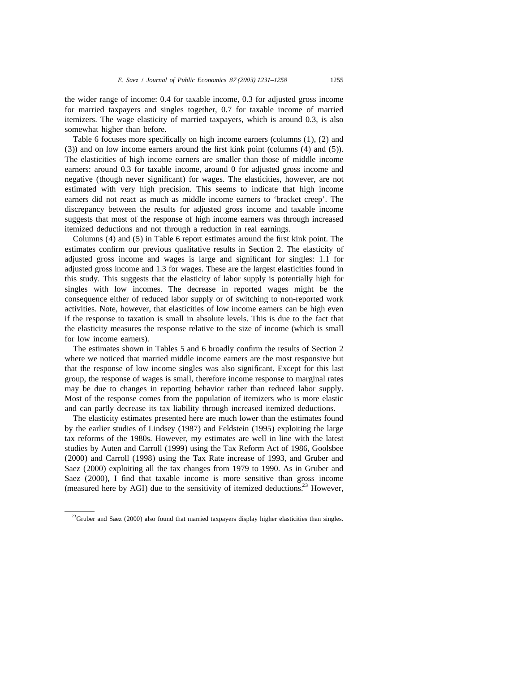the wider range of income: 0.4 for taxable income, 0.3 for adjusted gross income for married taxpayers and singles together, 0.7 for taxable income of married itemizers. The wage elasticity of married taxpayers, which is around 0.3, is also somewhat higher than before.

Table 6 focuses more specifically on high income earners (columns (1), (2) and (3)) and on low income earners around the first kink point (columns (4) and (5)). The elasticities of high income earners are smaller than those of middle income earners: around 0.3 for taxable income, around 0 for adjusted gross income and negative (though never significant) for wages. The elasticities, however, are not estimated with very high precision. This seems to indicate that high income earners did not react as much as middle income earners to 'bracket creep'. The discrepancy between the results for adjusted gross income and taxable income suggests that most of the response of high income earners was through increased itemized deductions and not through a reduction in real earnings.

Columns (4) and (5) in Table 6 report estimates around the first kink point. The estimates confirm our previous qualitative results in Section 2. The elasticity of adjusted gross income and wages is large and significant for singles: 1.1 for adjusted gross income and 1.3 for wages. These are the largest elasticities found in this study. This suggests that the elasticity of labor supply is potentially high for singles with low incomes. The decrease in reported wages might be the consequence either of reduced labor supply or of switching to non-reported work activities. Note, however, that elasticities of low income earners can be high even if the response to taxation is small in absolute levels. This is due to the fact that the elasticity measures the response relative to the size of income (which is small for low income earners).

The estimates shown in Tables 5 and 6 broadly confirm the results of Section 2 where we noticed that married middle income earners are the most responsive but that the response of low income singles was also significant. Except for this last group, the response of wages is small, therefore income response to marginal rates may be due to changes in reporting behavior rather than reduced labor supply. Most of the response comes from the population of itemizers who is more elastic and can partly decrease its tax liability through increased itemized deductions.

The elasticity estimates presented here are much lower than the estimates found by the earlier studies of Lindsey (1987) and Feldstein (1995) exploiting the large tax reforms of the 1980s. However, my estimates are well in line with the latest studies by Auten and Carroll (1999) using the Tax Reform Act of 1986, Goolsbee (2000) and Carroll (1998) using the Tax Rate increase of 1993, and Gruber and Saez (2000) exploiting all the tax changes from 1979 to 1990. As in Gruber and Saez (2000), I find that taxable income is more sensitive than gross income (measured here by AGI) due to the sensitivity of itemized deductions.<sup>23</sup> However,

<sup>&</sup>lt;sup>23</sup>Gruber and Saez (2000) also found that married taxpayers display higher elasticities than singles.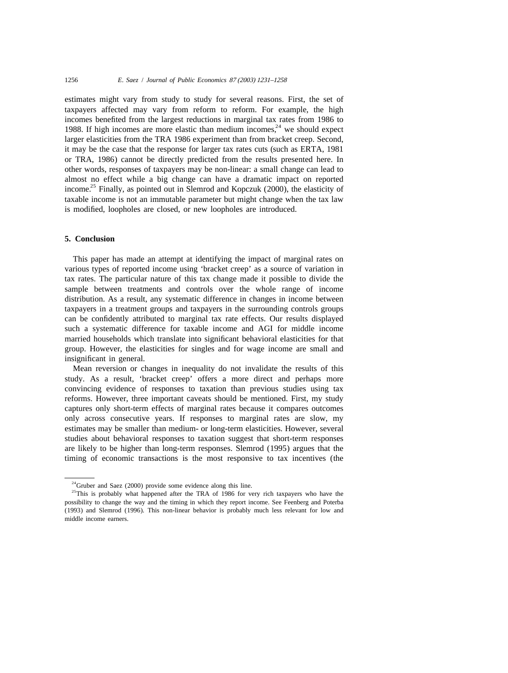estimates might vary from study to study for several reasons. First, the set of taxpayers affected may vary from reform to reform. For example, the high incomes benefited from the largest reductions in marginal tax rates from 1986 to 1988. If high incomes are more elastic than medium incomes,  $2^4$  we should expect larger elasticities from the TRA 1986 experiment than from bracket creep. Second, it may be the case that the response for larger tax rates cuts (such as ERTA, 1981 or TRA, 1986) cannot be directly predicted from the results presented here. In other words, responses of taxpayers may be non-linear: a small change can lead to almost no effect while a big change can have a dramatic impact on reported income.<sup>25</sup> Finally, as pointed out in Slemrod and Kopczuk (2000), the elasticity of taxable income is not an immutable parameter but might change when the tax law is modified, loopholes are closed, or new loopholes are introduced.

## **5. Conclusion**

This paper has made an attempt at identifying the impact of marginal rates on various types of reported income using 'bracket creep' as a source of variation in tax rates. The particular nature of this tax change made it possible to divide the sample between treatments and controls over the whole range of income distribution. As a result, any systematic difference in changes in income between taxpayers in a treatment groups and taxpayers in the surrounding controls groups can be confidently attributed to marginal tax rate effects. Our results displayed such a systematic difference for taxable income and AGI for middle income married households which translate into significant behavioral elasticities for that group. However, the elasticities for singles and for wage income are small and insignificant in general.

Mean reversion or changes in inequality do not invalidate the results of this study. As a result, 'bracket creep' offers a more direct and perhaps more convincing evidence of responses to taxation than previous studies using tax reforms. However, three important caveats should be mentioned. First, my study captures only short-term effects of marginal rates because it compares outcomes only across consecutive years. If responses to marginal rates are slow, my estimates may be smaller than medium- or long-term elasticities. However, several studies about behavioral responses to taxation suggest that short-term responses are likely to be higher than long-term responses. Slemrod (1995) argues that the timing of economic transactions is the most responsive to tax incentives (the

 $24$ Gruber and Saez (2000) provide some evidence along this line.

<sup>&</sup>lt;sup>25</sup>This is probably what happened after the TRA of 1986 for very rich taxpayers who have the possibility to change the way and the timing in which they report income. See Feenberg and Poterba (1993) and Slemrod (1996). This non-linear behavior is probably much less relevant for low and middle income earners.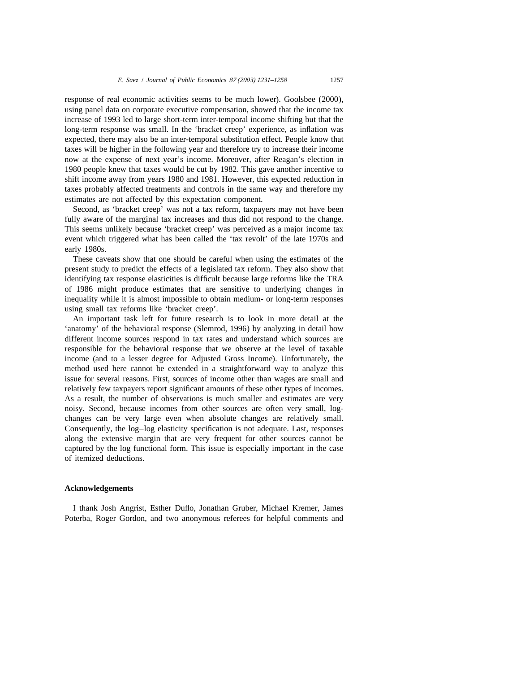response of real economic activities seems to be much lower). Goolsbee (2000), using panel data on corporate executive compensation, showed that the income tax increase of 1993 led to large short-term inter-temporal income shifting but that the long-term response was small. In the 'bracket creep' experience, as inflation was expected, there may also be an inter-temporal substitution effect. People know that taxes will be higher in the following year and therefore try to increase their income now at the expense of next year's income. Moreover, after Reagan's election in 1980 people knew that taxes would be cut by 1982. This gave another incentive to shift income away from years 1980 and 1981. However, this expected reduction in taxes probably affected treatments and controls in the same way and therefore my estimates are not affected by this expectation component.

Second, as 'bracket creep' was not a tax reform, taxpayers may not have been fully aware of the marginal tax increases and thus did not respond to the change. This seems unlikely because 'bracket creep' was perceived as a major income tax event which triggered what has been called the 'tax revolt' of the late 1970s and early 1980s.

These caveats show that one should be careful when using the estimates of the present study to predict the effects of a legislated tax reform. They also show that identifying tax response elasticities is difficult because large reforms like the TRA of 1986 might produce estimates that are sensitive to underlying changes in inequality while it is almost impossible to obtain medium- or long-term responses using small tax reforms like 'bracket creep'.

An important task left for future research is to look in more detail at the 'anatomy' of the behavioral response (Slemrod, 1996) by analyzing in detail how different income sources respond in tax rates and understand which sources are responsible for the behavioral response that we observe at the level of taxable income (and to a lesser degree for Adjusted Gross Income). Unfortunately, the method used here cannot be extended in a straightforward way to analyze this issue for several reasons. First, sources of income other than wages are small and relatively few taxpayers report significant amounts of these other types of incomes. As a result, the number of observations is much smaller and estimates are very noisy. Second, because incomes from other sources are often very small, logchanges can be very large even when absolute changes are relatively small. Consequently, the log–log elasticity specification is not adequate. Last, responses along the extensive margin that are very frequent for other sources cannot be captured by the log functional form. This issue is especially important in the case of itemized deductions.

## **Acknowledgements**

I thank Josh Angrist, Esther Duflo, Jonathan Gruber, Michael Kremer, James Poterba, Roger Gordon, and two anonymous referees for helpful comments and